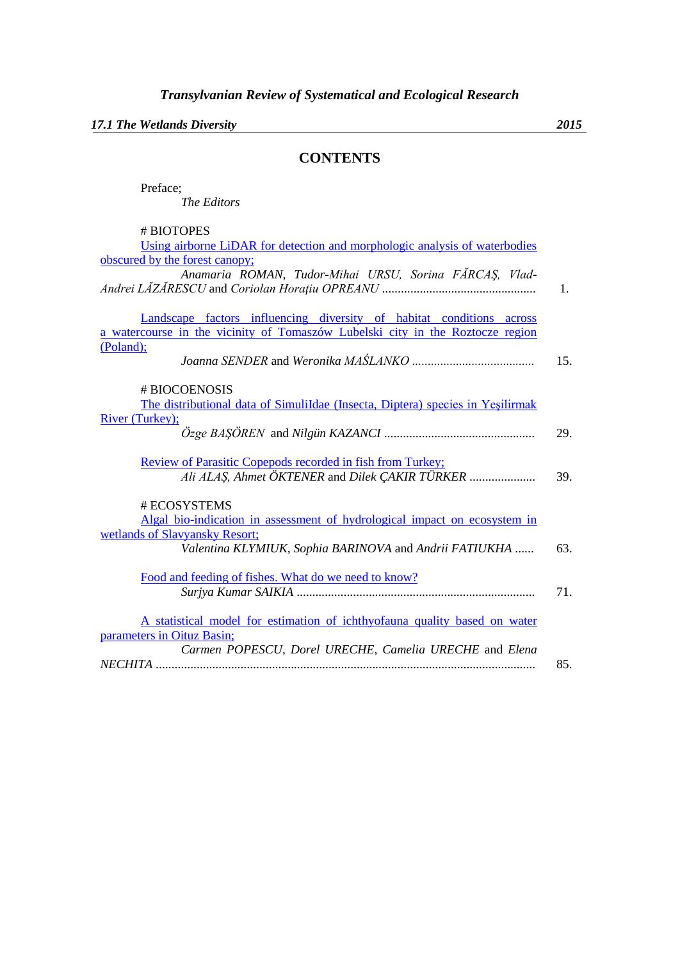*17.1 The Wetlands Diversity 2015*

## **CONTENTS**

| Preface;           |
|--------------------|
| <i>The Editors</i> |
|                    |

| # BIOTOPES                                                                     |     |
|--------------------------------------------------------------------------------|-----|
| Using airborne LiDAR for detection and morphologic analysis of waterbodies     |     |
| obscured by the forest canopy;                                                 |     |
| Anamaria ROMAN, Tudor-Mihai URSU, Sorina FĂRCAȘ, Vlad-                         |     |
|                                                                                | 1.  |
|                                                                                |     |
| Landscape factors influencing diversity of habitat conditions across           |     |
| a watercourse in the vicinity of Tomaszów Lubelski city in the Roztocze region |     |
| (Poland);                                                                      |     |
|                                                                                | 15. |
|                                                                                |     |
| # BIOCOENOSIS                                                                  |     |
| The distributional data of SimuliIdae (Insecta, Diptera) species in Yeşilirmak |     |
| River (Turkey);                                                                |     |
|                                                                                | 29. |
|                                                                                |     |
| Review of Parasitic Copepods recorded in fish from Turkey;                     |     |
| Ali ALAŞ, Ahmet ÖKTENER and Dilek ÇAKIR TÜRKER                                 | 39. |
|                                                                                |     |
| # ECOSYSTEMS                                                                   |     |
| Algal bio-indication in assessment of hydrological impact on ecosystem in      |     |
| wetlands of Slavyansky Resort;                                                 |     |
| Valentina KLYMIUK, Sophia BARINOVA and Andrii FATIUKHA                         | 63. |
| Food and feeding of fishes. What do we need to know?                           |     |
|                                                                                | 71. |
|                                                                                |     |
| A statistical model for estimation of ichthyofauna quality based on water      |     |
| parameters in Oituz Basin;                                                     |     |
| Carmen POPESCU, Dorel URECHE, Camelia URECHE and Elena                         |     |
|                                                                                | 85. |
|                                                                                |     |